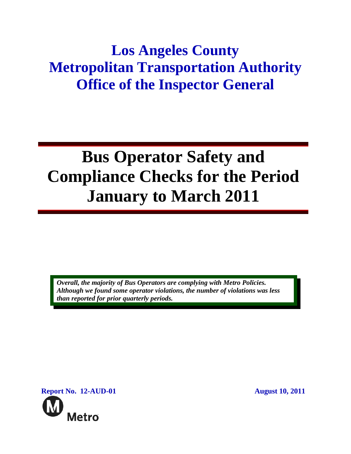## **Los Angeles County Metropolitan Transportation Authority Office of the Inspector General**

# **Bus Operator Safety and Compliance Checks for the Period January to March 2011**

*Overall, the majority of Bus Operators are complying with Metro Policies. Although we found some operator violations, the number of violations was less than reported for prior quarterly periods.* 

**Report No. 12-AUD-01** August 10, 2011 **Metro**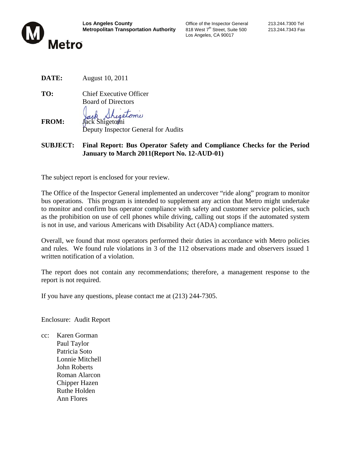

Los Angeles, CA 90017

- **DATE:** August 10, 2011
- **TO:** Chief Executive Officer Board of Directors

**FROM:** Jack Shigetomi Deputy Inspector General for Audits

**SUBJECT: Final Report: Bus Operator Safety and Compliance Checks for the Period January to March 2011(Report No. 12-AUD-01)**

The subject report is enclosed for your review.

The Office of the Inspector General implemented an undercover "ride along" program to monitor bus operations. This program is intended to supplement any action that Metro might undertake to monitor and confirm bus operator compliance with safety and customer service policies, such as the prohibition on use of cell phones while driving, calling out stops if the automated system is not in use, and various Americans with Disability Act (ADA) compliance matters.

Overall, we found that most operators performed their duties in accordance with Metro policies and rules. We found rule violations in 3 of the 112 observations made and observers issued 1 written notification of a violation.

The report does not contain any recommendations; therefore, a management response to the report is not required.

If you have any questions, please contact me at (213) 244-7305.

Enclosure: Audit Report

cc: Karen Gorman Paul Taylor Patricia Soto Lonnie Mitchell John Roberts Roman Alarcon Chipper Hazen Ruthe Holden Ann Flores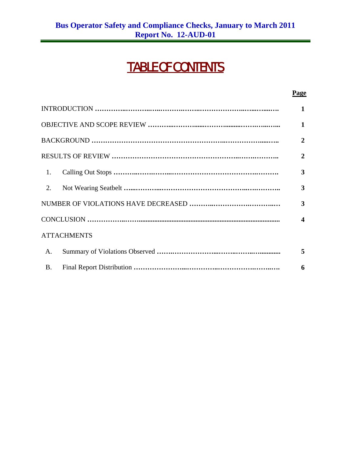## TABLE OF CONTENTS

|                    | Page             |
|--------------------|------------------|
|                    | 1                |
|                    | 1                |
|                    | $\mathbf{2}$     |
|                    | 2                |
| 1.                 | 3                |
| 2.                 | 3                |
|                    | 3                |
|                    | $\boldsymbol{4}$ |
| <b>ATTACHMENTS</b> |                  |
| A.                 | 5                |
| <b>B.</b>          | 6                |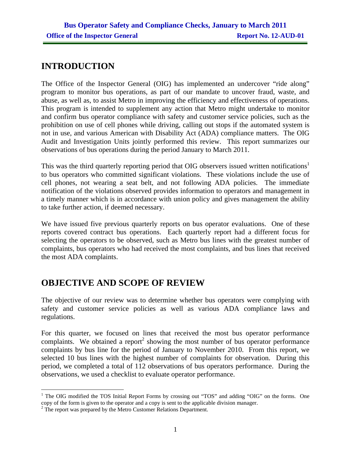## **INTRODUCTION**

The Office of the Inspector General (OIG) has implemented an undercover "ride along" program to monitor bus operations, as part of our mandate to uncover fraud, waste, and abuse, as well as, to assist Metro in improving the efficiency and effectiveness of operations. This program is intended to supplement any action that Metro might undertake to monitor and confirm bus operator compliance with safety and customer service policies, such as the prohibition on use of cell phones while driving, calling out stops if the automated system is not in use, and various American with Disability Act (ADA) compliance matters. The OIG Audit and Investigation Units jointly performed this review. This report summarizes our observations of bus operations during the period January to March 2011.

This was the third quarterly reporting period that OIG observers issued written notifications<sup>1</sup> to bus operators who committed significant violations. These violations include the use of cell phones, not wearing a seat belt, and not following ADA policies. The immediate notification of the violations observed provides information to operators and management in a timely manner which is in accordance with union policy and gives management the ability to take further action, if deemed necessary.

We have issued five previous quarterly reports on bus operator evaluations. One of these reports covered contract bus operations. Each quarterly report had a different focus for selecting the operators to be observed, such as Metro bus lines with the greatest number of complaints, bus operators who had received the most complaints, and bus lines that received the most ADA complaints.

## **OBJECTIVE AND SCOPE OF REVIEW**

The objective of our review was to determine whether bus operators were complying with safety and customer service policies as well as various ADA compliance laws and regulations.

For this quarter, we focused on lines that received the most bus operator performance complaints. We obtained a report<sup>2</sup> showing the most number of bus operator performance complaints by bus line for the period of January to November 2010. From this report, we selected 10 bus lines with the highest number of complaints for observation. During this period, we completed a total of 112 observations of bus operators performance. During the observations, we used a checklist to evaluate operator performance.

 $\overline{a}$ <sup>1</sup> The OIG modified the TOS Initial Report Forms by crossing out "TOS" and adding "OIG" on the forms. One copy of the form is given to the operator and a copy is sent to the applicable division manager.

 $2^2$  The report was prepared by the Metro Customer Relations Department.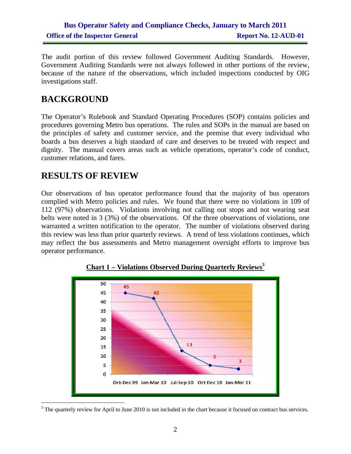### **Bus Operator Safety and Compliance Checks, January to March 2011 Office of the Inspector General Report No. 12-AUD-01**

The audit portion of this review followed Government Auditing Standards. However, Government Auditing Standards were not always followed in other portions of the review, because of the nature of the observations, which included inspections conducted by OIG investigations staff.

## **BACKGROUND**

The Operator's Rulebook and Standard Operating Procedures (SOP) contains policies and procedures governing Metro bus operations. The rules and SOPs in the manual are based on the principles of safety and customer service, and the premise that every individual who boards a bus deserves a high standard of care and deserves to be treated with respect and dignity. The manual covers areas such as vehicle operations, operator's code of conduct, customer relations, and fares.

### **RESULTS OF REVIEW**

Our observations of bus operator performance found that the majority of bus operators complied with Metro policies and rules. We found that there were no violations in 109 of 112 (97%) observations. Violations involving not calling out stops and not wearing seat belts were noted in 3 (3%) of the observations. Of the three observations of violations, one warranted a written notification to the operator. The number of violations observed during this review was less than prior quarterly reviews. A trend of less violations continues, which may reflect the bus assessments and Metro management oversight efforts to improve bus operator performance.



**Chart 1 – Violations Observed During Quarterly Reviews<sup>3</sup>**

 $\overline{a}$  $3$  The quarterly review for April to June 2010 is not included in the chart because it focused on contract bus services.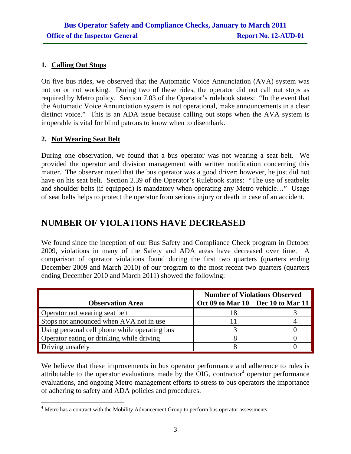#### **1. Calling Out Stops**

On five bus rides, we observed that the Automatic Voice Annunciation (AVA) system was not on or not working. During two of these rides, the operator did not call out stops as required by Metro policy. Section 7.03 of the Operator's rulebook states: "In the event that the Automatic Voice Annunciation system is not operational, make announcements in a clear distinct voice." This is an ADA issue because calling out stops when the AVA system is inoperable is vital for blind patrons to know when to disembark.

#### **2. Not Wearing Seat Belt**

During one observation, we found that a bus operator was not wearing a seat belt. We provided the operator and division management with written notification concerning this matter. The observer noted that the bus operator was a good driver; however, he just did not have on his seat belt. Section 2.39 of the Operator's Rulebook states: "The use of seatbelts and shoulder belts (if equipped) is mandatory when operating any Metro vehicle…" Usage of seat belts helps to protect the operator from serious injury or death in case of an accident.

### **NUMBER OF VIOLATIONS HAVE DECREASED**

We found since the inception of our Bus Safety and Compliance Check program in October 2009, violations in many of the Safety and ADA areas have decreased over time. A comparison of operator violations found during the first two quarters (quarters ending December 2009 and March 2010) of our program to the most recent two quarters (quarters ending December 2010 and March 2011) showed the following:

|                                               | <b>Number of Violations Observed</b> |  |  |
|-----------------------------------------------|--------------------------------------|--|--|
| <b>Observation Area</b>                       | Oct 09 to Mar 10   Dec 10 to Mar 11  |  |  |
| Operator not wearing seat belt                |                                      |  |  |
| Stops not announced when AVA not in use       |                                      |  |  |
| Using personal cell phone while operating bus |                                      |  |  |
| Operator eating or drinking while driving     |                                      |  |  |
| Driving unsafely                              |                                      |  |  |

We believe that these improvements in bus operator performance and adherence to rules is attributable to the operator evaluations made by the OIG, contractor<sup>4</sup> operator performance evaluations, and ongoing Metro management efforts to stress to bus operators the importance of adhering to safety and ADA policies and procedures.

 $\overline{a}$ <sup>4</sup> Metro has a contract with the Mobility Advancement Group to perform bus operator assessments.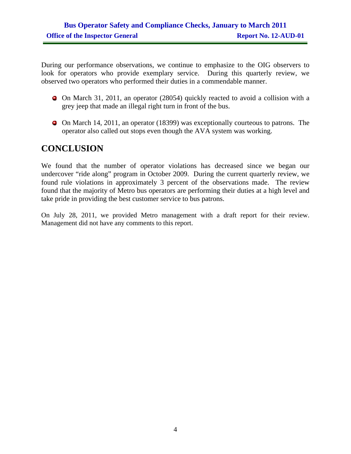During our performance observations, we continue to emphasize to the OIG observers to look for operators who provide exemplary service. During this quarterly review, we observed two operators who performed their duties in a commendable manner.

- On March 31, 2011, an operator (28054) quickly reacted to avoid a collision with a grey jeep that made an illegal right turn in front of the bus.
- On March 14, 2011, an operator (18399) was exceptionally courteous to patrons. The operator also called out stops even though the AVA system was working.

## **CONCLUSION**

We found that the number of operator violations has decreased since we began our undercover "ride along" program in October 2009. During the current quarterly review, we found rule violations in approximately 3 percent of the observations made. The review found that the majority of Metro bus operators are performing their duties at a high level and take pride in providing the best customer service to bus patrons.

On July 28, 2011, we provided Metro management with a draft report for their review. Management did not have any comments to this report.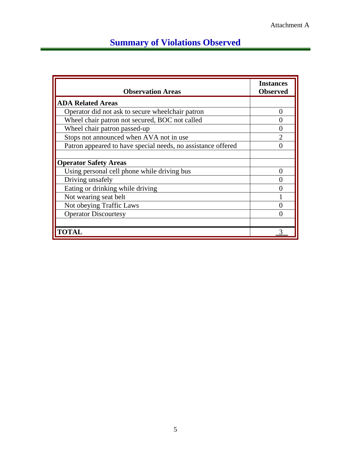## **Summary of Violations Observed**

| <b>Observation Areas</b>                                     | <b>Instances</b><br><b>Observed</b> |
|--------------------------------------------------------------|-------------------------------------|
| <b>ADA Related Areas</b>                                     |                                     |
| Operator did not ask to secure wheelchair patron             | 0                                   |
| Wheel chair patron not secured, BOC not called               |                                     |
| Wheel chair patron passed-up                                 | 0                                   |
| Stops not announced when AVA not in use                      | $\mathcal{D}$                       |
| Patron appeared to have special needs, no assistance offered |                                     |
|                                                              |                                     |
| <b>Operator Safety Areas</b>                                 |                                     |
| Using personal cell phone while driving bus                  |                                     |
| Driving unsafely                                             | 0                                   |
| Eating or drinking while driving                             |                                     |
| Not wearing seat belt                                        |                                     |
| Not obeying Traffic Laws                                     |                                     |
| <b>Operator Discourtesy</b>                                  |                                     |
|                                                              |                                     |
| <b>TOTAL</b>                                                 |                                     |